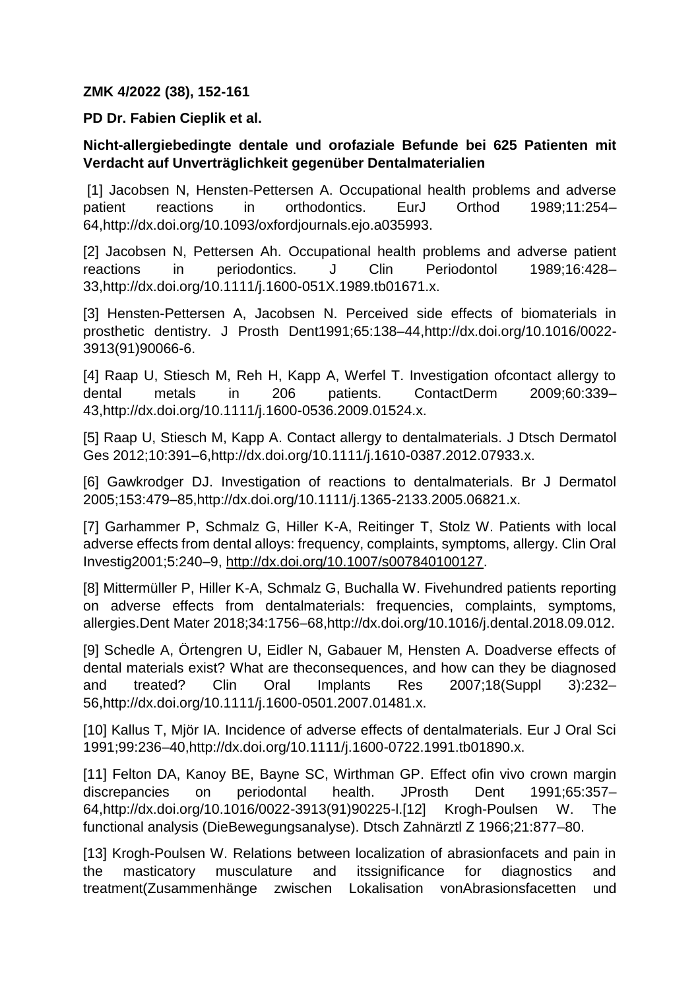## **ZMK 4/2022 (38), 152-161**

## **PD Dr. Fabien Cieplik et al.**

## **Nicht-allergiebedingte dentale und orofaziale Befunde bei 625 Patienten mit Verdacht auf Unverträglichkeit gegenüber Dentalmaterialien**

[1] Jacobsen N, Hensten-Pettersen A. Occupational health problems and adverse patient reactions in orthodontics. EurJ Orthod 1989;11:254– 64,http://dx.doi.org/10.1093/oxfordjournals.ejo.a035993.

[2] Jacobsen N, Pettersen Ah. Occupational health problems and adverse patient reactions in periodontics. J Clin Periodontol 1989;16:428– 33,http://dx.doi.org/10.1111/j.1600-051X.1989.tb01671.x.

[3] Hensten-Pettersen A, Jacobsen N. Perceived side effects of biomaterials in prosthetic dentistry. J Prosth Dent1991;65:138–44,http://dx.doi.org/10.1016/0022- 3913(91)90066-6.

[4] Raap U, Stiesch M, Reh H, Kapp A, Werfel T. Investigation ofcontact allergy to dental metals in 206 patients. ContactDerm 2009;60:339– 43,http://dx.doi.org/10.1111/j.1600-0536.2009.01524.x.

[5] Raap U, Stiesch M, Kapp A. Contact allergy to dentalmaterials. J Dtsch Dermatol Ges 2012;10:391–6,http://dx.doi.org/10.1111/j.1610-0387.2012.07933.x.

[6] Gawkrodger DJ. Investigation of reactions to dentalmaterials. Br J Dermatol 2005;153:479–85,http://dx.doi.org/10.1111/j.1365-2133.2005.06821.x.

[7] Garhammer P, Schmalz G, Hiller K-A, Reitinger T, Stolz W. Patients with local adverse effects from dental alloys: frequency, complaints, symptoms, allergy. Clin Oral Investig2001;5:240–9, [http://dx.doi.org/10.1007/s007840100127.](http://dx.doi.org/10.1007/s007840100127)

[8] Mittermüller P, Hiller K-A, Schmalz G, Buchalla W. Fivehundred patients reporting on adverse effects from dentalmaterials: frequencies, complaints, symptoms, allergies.Dent Mater 2018;34:1756–68,http://dx.doi.org/10.1016/j.dental.2018.09.012.

[9] Schedle A, Örtengren U, Eidler N, Gabauer M, Hensten A. Doadverse effects of dental materials exist? What are theconsequences, and how can they be diagnosed and treated? Clin Oral Implants Res 2007;18(Suppl 3):232– 56,http://dx.doi.org/10.1111/j.1600-0501.2007.01481.x.

[10] Kallus T, Miör IA. Incidence of adverse effects of dentalmaterials. Eur J Oral Sci 1991;99:236–40,http://dx.doi.org/10.1111/j.1600-0722.1991.tb01890.x.

[11] Felton DA, Kanoy BE, Bayne SC, Wirthman GP. Effect of in vivo crown margin discrepancies on periodontal health. JProsth Dent 1991;65:357– 64,http://dx.doi.org/10.1016/0022-3913(91)90225-l.[12] Krogh-Poulsen W. The functional analysis (DieBewegungsanalyse). Dtsch Zahnärztl Z 1966;21:877–80.

[13] Krogh-Poulsen W. Relations between localization of abrasionfacets and pain in the masticatory musculature and itssignificance for diagnostics and treatment(Zusammenhänge zwischen Lokalisation vonAbrasionsfacetten und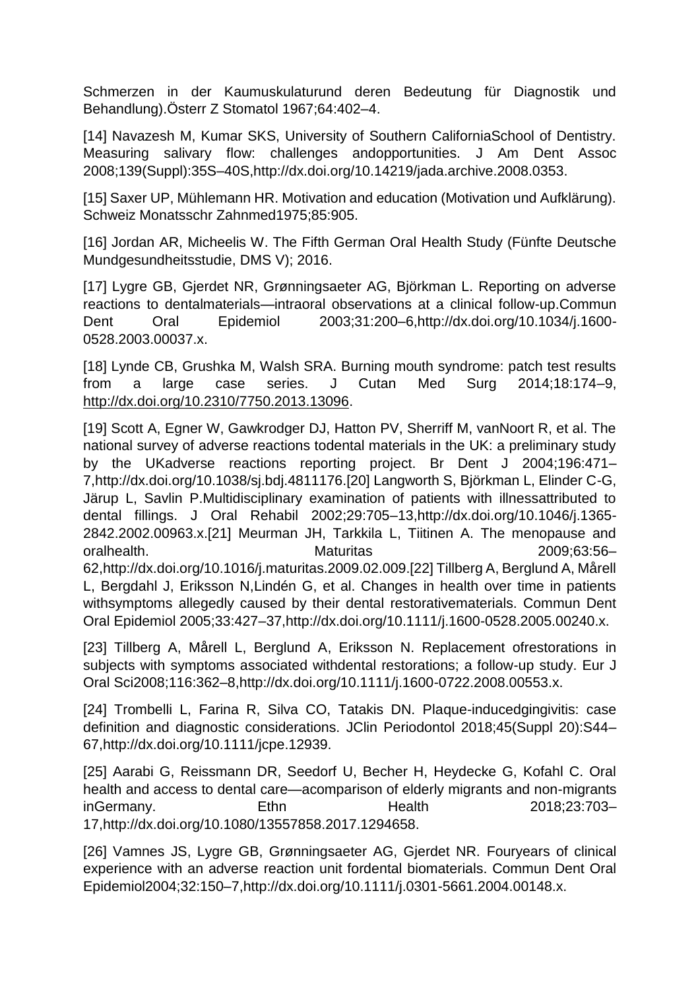Schmerzen in der Kaumuskulaturund deren Bedeutung für Diagnostik und Behandlung).Österr Z Stomatol 1967;64:402–4.

[14] Navazesh M, Kumar SKS, University of Southern CaliforniaSchool of Dentistry. Measuring salivary flow: challenges andopportunities. J Am Dent Assoc 2008;139(Suppl):35S–40S,http://dx.doi.org/10.14219/jada.archive.2008.0353.

[15] Saxer UP, Mühlemann HR. Motivation and education (Motivation und Aufklärung). Schweiz Monatsschr Zahnmed1975;85:905.

[16] Jordan AR, Micheelis W. The Fifth German Oral Health Study (Fünfte Deutsche Mundgesundheitsstudie, DMS V); 2016.

[17] Lygre GB, Gjerdet NR, Grønningsaeter AG, Björkman L. Reporting on adverse reactions to dentalmaterials—intraoral observations at a clinical follow-up.Commun Dent Oral Epidemiol 2003;31:200–6,http://dx.doi.org/10.1034/j.1600- 0528.2003.00037.x.

[18] Lynde CB, Grushka M, Walsh SRA. Burning mouth syndrome: patch test results from a large case series. J Cutan Med Surg 2014;18:174–9, [http://dx.doi.org/10.2310/7750.2013.13096.](http://dx.doi.org/10.2310/7750.2013.13096)

[19] Scott A, Egner W, Gawkrodger DJ, Hatton PV, Sherriff M, vanNoort R, et al. The national survey of adverse reactions todental materials in the UK: a preliminary study by the UKadverse reactions reporting project. Br Dent J 2004;196:471– 7,http://dx.doi.org/10.1038/sj.bdj.4811176.[20] Langworth S, Björkman L, Elinder C-G, Järup L, Savlin P.Multidisciplinary examination of patients with illnessattributed to dental fillings. J Oral Rehabil 2002;29:705–13,http://dx.doi.org/10.1046/j.1365- 2842.2002.00963.x.[21] Meurman JH, Tarkkila L, Tiitinen A. The menopause and oralhealth. Maturitas 2009;63:56– 62,http://dx.doi.org/10.1016/j.maturitas.2009.02.009.[22] Tillberg A, Berglund A, Mårell L, Bergdahl J, Eriksson N,Lindén G, et al. Changes in health over time in patients withsymptoms allegedly caused by their dental restorativematerials. Commun Dent Oral Epidemiol 2005;33:427–37,http://dx.doi.org/10.1111/j.1600-0528.2005.00240.x.

[23] Tillberg A, Mårell L, Berglund A, Eriksson N. Replacement ofrestorations in subjects with symptoms associated withdental restorations; a follow-up study. Eur J Oral Sci2008;116:362–8,http://dx.doi.org/10.1111/j.1600-0722.2008.00553.x.

[24] Trombelli L, Farina R, Silva CO, Tatakis DN. Plaque-inducedgingivitis: case definition and diagnostic considerations. JClin Periodontol 2018;45(Suppl 20):S44– 67,http://dx.doi.org/10.1111/jcpe.12939.

[25] Aarabi G, Reissmann DR, Seedorf U, Becher H, Heydecke G, Kofahl C. Oral health and access to dental care—acomparison of elderly migrants and non-migrants inGermany. Ethn Health 2018;23:703– 17,http://dx.doi.org/10.1080/13557858.2017.1294658.

[26] Vamnes JS, Lygre GB, Grønningsaeter AG, Gjerdet NR. Fouryears of clinical experience with an adverse reaction unit fordental biomaterials. Commun Dent Oral Epidemiol2004;32:150–7,http://dx.doi.org/10.1111/j.0301-5661.2004.00148.x.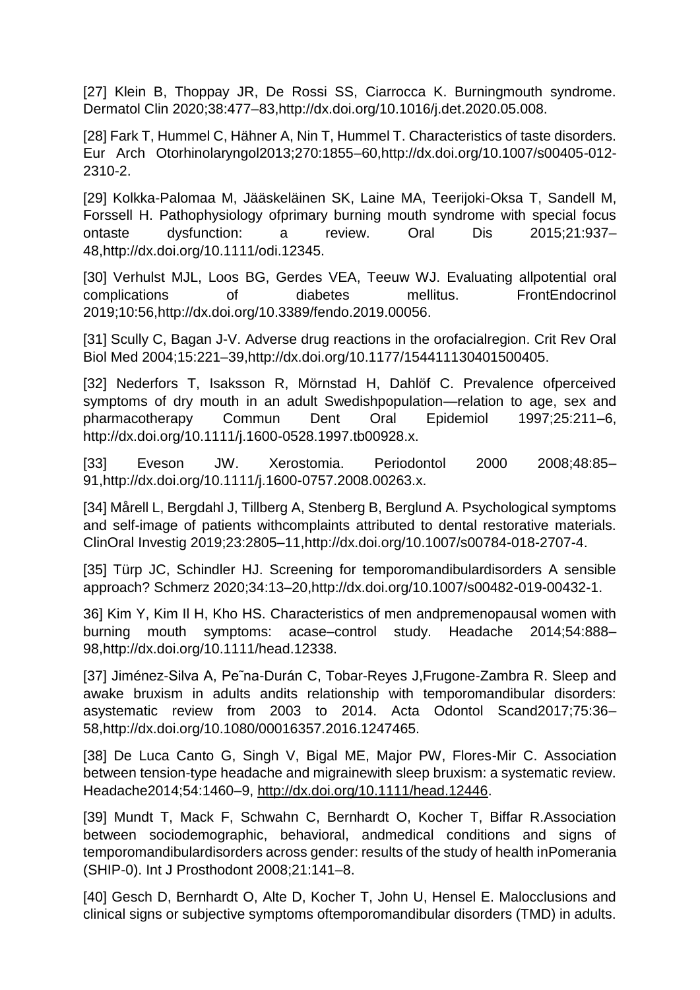[27] Klein B, Thoppay JR, De Rossi SS, Ciarrocca K. Burningmouth syndrome. Dermatol Clin 2020;38:477–83,http://dx.doi.org/10.1016/j.det.2020.05.008.

[28] Fark T, Hummel C, Hähner A, Nin T, Hummel T. Characteristics of taste disorders. Eur Arch Otorhinolaryngol2013;270:1855–60,http://dx.doi.org/10.1007/s00405-012- 2310-2.

[29] Kolkka-Palomaa M, Jääskeläinen SK, Laine MA, Teerijoki-Oksa T, Sandell M, Forssell H. Pathophysiology ofprimary burning mouth syndrome with special focus ontaste dysfunction: a review. Oral Dis 2015;21:937– 48,http://dx.doi.org/10.1111/odi.12345.

[30] Verhulst MJL, Loos BG, Gerdes VEA, Teeuw WJ. Evaluating allpotential oral complications of diabetes mellitus. FrontEndocrinol 2019;10:56,http://dx.doi.org/10.3389/fendo.2019.00056.

[31] Scully C, Bagan J-V. Adverse drug reactions in the orofacialregion. Crit Rev Oral Biol Med 2004;15:221–39,http://dx.doi.org/10.1177/154411130401500405.

[32] Nederfors T, Isaksson R, Mörnstad H, Dahlöf C. Prevalence ofperceived symptoms of dry mouth in an adult Swedishpopulation—relation to age, sex and pharmacotherapy Commun Dent Oral Epidemiol 1997;25:211–6, http://dx.doi.org/10.1111/j.1600-0528.1997.tb00928.x.

[33] Eveson JW. Xerostomia. Periodontol 2000 2008;48:85– 91,http://dx.doi.org/10.1111/j.1600-0757.2008.00263.x.

[34] Mårell L, Bergdahl J, Tillberg A, Stenberg B, Berglund A. Psychological symptoms and self-image of patients withcomplaints attributed to dental restorative materials. ClinOral Investig 2019;23:2805–11,http://dx.doi.org/10.1007/s00784-018-2707-4.

[35] Türp JC, Schindler HJ. Screening for temporomandibulardisorders A sensible approach? Schmerz 2020;34:13–20,http://dx.doi.org/10.1007/s00482-019-00432-1.

36] Kim Y, Kim Il H, Kho HS. Characteristics of men andpremenopausal women with burning mouth symptoms: acase–control study. Headache 2014;54:888– 98,http://dx.doi.org/10.1111/head.12338.

[37] Jiménez-Silva A, Pe˜na-Durán C, Tobar-Reyes J,Frugone-Zambra R. Sleep and awake bruxism in adults andits relationship with temporomandibular disorders: asystematic review from 2003 to 2014. Acta Odontol Scand2017;75:36– 58,http://dx.doi.org/10.1080/00016357.2016.1247465.

[38] De Luca Canto G, Singh V, Bigal ME, Major PW, Flores-Mir C. Association between tension-type headache and migrainewith sleep bruxism: a systematic review. Headache2014;54:1460–9, [http://dx.doi.org/10.1111/head.12446.](http://dx.doi.org/10.1111/head.12446)

[39] Mundt T, Mack F, Schwahn C, Bernhardt O, Kocher T, Biffar R.Association between sociodemographic, behavioral, andmedical conditions and signs of temporomandibulardisorders across gender: results of the study of health inPomerania (SHIP-0). Int J Prosthodont 2008;21:141–8.

[40] Gesch D, Bernhardt O, Alte D, Kocher T, John U, Hensel E. Malocclusions and clinical signs or subjective symptoms oftemporomandibular disorders (TMD) in adults.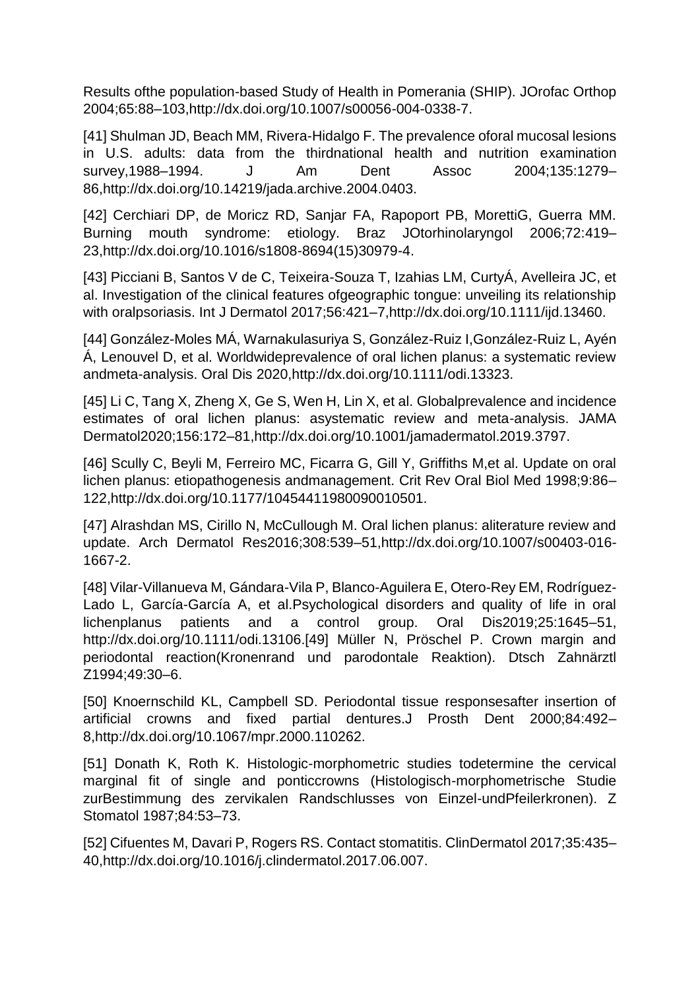Results ofthe population-based Study of Health in Pomerania (SHIP). JOrofac Orthop 2004;65:88–103,http://dx.doi.org/10.1007/s00056-004-0338-7.

[41] Shulman JD, Beach MM, Rivera-Hidalgo F. The prevalence oforal mucosal lesions in U.S. adults: data from the thirdnational health and nutrition examination survey,1988–1994. J Am Dent Assoc 2004;135:1279– 86,http://dx.doi.org/10.14219/jada.archive.2004.0403.

[42] Cerchiari DP, de Moricz RD, Sanjar FA, Rapoport PB, MorettiG, Guerra MM. Burning mouth syndrome: etiology. Braz JOtorhinolaryngol 2006;72:419– 23,http://dx.doi.org/10.1016/s1808-8694(15)30979-4.

[43] Picciani B, Santos V de C, Teixeira-Souza T, Izahias LM, CurtyÁ, Avelleira JC, et al. Investigation of the clinical features ofgeographic tongue: unveiling its relationship with oralpsoriasis. Int J Dermatol 2017;56:421–7,http://dx.doi.org/10.1111/ijd.13460.

[44] González-Moles MÁ, Warnakulasuriya S, González-Ruiz I,González-Ruiz L, Ayén Á, Lenouvel D, et al. Worldwideprevalence of oral lichen planus: a systematic review andmeta-analysis. Oral Dis 2020,http://dx.doi.org/10.1111/odi.13323.

[45] Li C, Tang X, Zheng X, Ge S, Wen H, Lin X, et al. Globalprevalence and incidence estimates of oral lichen planus: asystematic review and meta-analysis. JAMA Dermatol2020;156:172–81,http://dx.doi.org/10.1001/jamadermatol.2019.3797.

[46] Scully C, Beyli M, Ferreiro MC, Ficarra G, Gill Y, Griffiths M,et al. Update on oral lichen planus: etiopathogenesis andmanagement. Crit Rev Oral Biol Med 1998;9:86– 122,http://dx.doi.org/10.1177/10454411980090010501.

[47] Alrashdan MS, Cirillo N, McCullough M, Oral lichen planus; aliterature review and update. Arch Dermatol Res2016;308:539–51,http://dx.doi.org/10.1007/s00403-016- 1667-2.

[48] Vilar-Villanueva M, Gándara-Vila P, Blanco-Aguilera E, Otero-Rey EM, Rodríguez-Lado L, García-García A, et al.Psychological disorders and quality of life in oral lichenplanus patients and a control group. Oral Dis2019;25:1645–51, http://dx.doi.org/10.1111/odi.13106.[49] Müller N, Pröschel P. Crown margin and periodontal reaction(Kronenrand und parodontale Reaktion). Dtsch Zahnärztl Z1994;49:30–6.

[50] Knoernschild KL, Campbell SD. Periodontal tissue responsesafter insertion of artificial crowns and fixed partial dentures.J Prosth Dent 2000;84:492– 8,http://dx.doi.org/10.1067/mpr.2000.110262.

[51] Donath K, Roth K. Histologic-morphometric studies todetermine the cervical marginal fit of single and ponticcrowns (Histologisch-morphometrische Studie zurBestimmung des zervikalen Randschlusses von Einzel-undPfeilerkronen). Z Stomatol 1987;84:53–73.

[52] Cifuentes M, Davari P, Rogers RS. Contact stomatitis. ClinDermatol 2017;35:435– 40,http://dx.doi.org/10.1016/j.clindermatol.2017.06.007.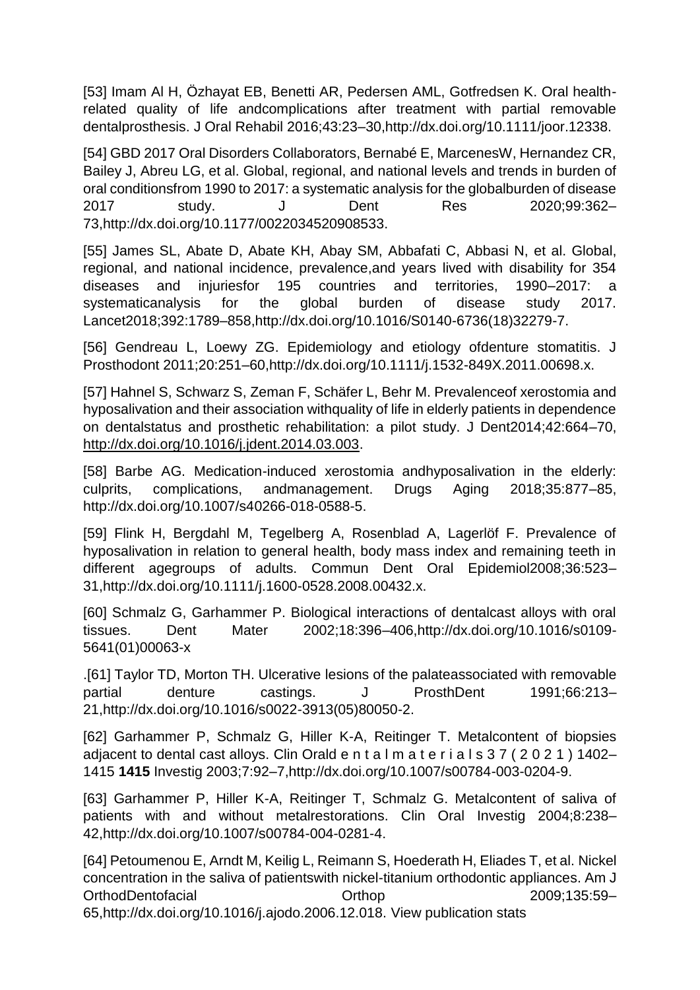[53] Imam Al H, Özhayat EB, Benetti AR, Pedersen AML, Gotfredsen K. Oral healthrelated quality of life andcomplications after treatment with partial removable dentalprosthesis. J Oral Rehabil 2016;43:23–30,http://dx.doi.org/10.1111/joor.12338.

[54] GBD 2017 Oral Disorders Collaborators, Bernabé E, MarcenesW, Hernandez CR, Bailey J, Abreu LG, et al. Global, regional, and national levels and trends in burden of oral conditionsfrom 1990 to 2017: a systematic analysis for the globalburden of disease 2017 study. J Dent Res 2020;99:362– 73,http://dx.doi.org/10.1177/0022034520908533.

[55] James SL, Abate D, Abate KH, Abay SM, Abbafati C, Abbasi N, et al. Global, regional, and national incidence, prevalence,and years lived with disability for 354 diseases and injuriesfor 195 countries and territories, 1990–2017: a systematicanalysis for the global burden of disease study 2017. Lancet2018;392:1789–858,http://dx.doi.org/10.1016/S0140-6736(18)32279-7.

[56] Gendreau L, Loewy ZG. Epidemiology and etiology ofdenture stomatitis. J Prosthodont 2011;20:251–60,http://dx.doi.org/10.1111/j.1532-849X.2011.00698.x.

[57] Hahnel S, Schwarz S, Zeman F, Schäfer L, Behr M. Prevalenceof xerostomia and hyposalivation and their association withquality of life in elderly patients in dependence on dentalstatus and prosthetic rehabilitation: a pilot study. J Dent2014;42:664–70, [http://dx.doi.org/10.1016/j.jdent.2014.03.003.](http://dx.doi.org/10.1016/j.jdent.2014.03.003)

[58] Barbe AG. Medication-induced xerostomia andhyposalivation in the elderly: culprits, complications, andmanagement. Drugs Aging 2018;35:877–85, http://dx.doi.org/10.1007/s40266-018-0588-5.

[59] Flink H, Bergdahl M, Tegelberg A, Rosenblad A, Lagerlöf F. Prevalence of hyposalivation in relation to general health, body mass index and remaining teeth in different agegroups of adults. Commun Dent Oral Epidemiol2008;36:523– 31,http://dx.doi.org/10.1111/j.1600-0528.2008.00432.x.

[60] Schmalz G, Garhammer P. Biological interactions of dentalcast alloys with oral tissues. Dent Mater 2002;18:396–406,http://dx.doi.org/10.1016/s0109- 5641(01)00063-x

.[61] Taylor TD, Morton TH. Ulcerative lesions of the palateassociated with removable partial denture castings. J ProsthDent 1991;66:213– 21,http://dx.doi.org/10.1016/s0022-3913(05)80050-2.

[62] Garhammer P, Schmalz G, Hiller K-A, Reitinger T. Metalcontent of biopsies adiacent to dental cast alloys. Clin Orald  $e$  n t a  $l$  m a t  $e$  r i a  $l$  s 3 7 ( 2 0 2 1 ) 1402– 1415 **1415** Investig 2003;7:92–7,http://dx.doi.org/10.1007/s00784-003-0204-9.

[63] Garhammer P, Hiller K-A, Reitinger T, Schmalz G. Metalcontent of saliva of patients with and without metalrestorations. Clin Oral Investig 2004;8:238– 42,http://dx.doi.org/10.1007/s00784-004-0281-4.

[64] Petoumenou E, Arndt M, Keilig L, Reimann S, Hoederath H, Eliades T, et al. Nickel concentration in the saliva of patientswith nickel-titanium orthodontic appliances. Am J OrthodDentofacial Orthop 2009;135:59– 65,http://dx.doi.org/10.1016/j.ajodo.2006.12.018. View publication stats